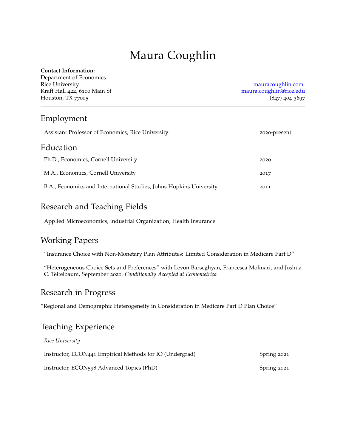# Maura Coughlin

#### **Contact Information:**

Department of Economics Rice University [mauracoughlin.com](http://www.mauracoughlin.com) Kraft Hall 422, 6100 Main St [maura.coughlin@rice.edu](mailto:maura.coughlin@rice.edu) Houston, TX 77005 (847) 404-3697

### Employment

| Assistant Professor of Economics, Rice University                   | 2020-present |
|---------------------------------------------------------------------|--------------|
| Education                                                           |              |
| Ph.D., Economics, Cornell University                                | 2020         |
| M.A., Economics, Cornell University                                 | 2017         |
| B.A., Economics and International Studies, Johns Hopkins University | 2011         |

### Research and Teaching Fields

Applied Microeconomics, Industrial Organization, Health Insurance

## Working Papers

"Insurance Choice with Non-Monetary Plan Attributes: Limited Consideration in Medicare Part D"

"Heterogeneous Choice Sets and Preferences" with Levon Barseghyan, Francesca Molinari, and Joshua C. Teitelbaum, September 2020. *Conditionally Accepted at Econometrica*

#### Research in Progress

"Regional and Demographic Heterogeneity in Consideration in Medicare Part D Plan Choice"

#### Teaching Experience

| Rice University                                          |             |
|----------------------------------------------------------|-------------|
| Instructor, ECON441 Empirical Methods for IO (Undergrad) | Spring 2021 |
| Instructor, ECON598 Advanced Topics (PhD)                | Spring 2021 |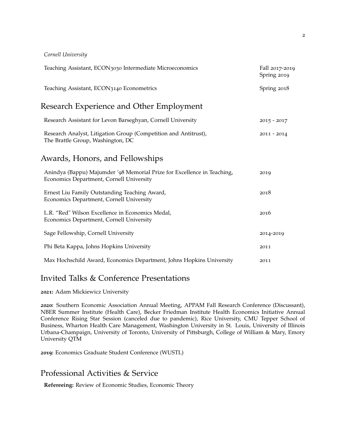#### *Cornell University*

| Teaching Assistant, ECON3030 Intermediate Microeconomics                                                            | Fall 2017-2019<br>Spring 2019 |
|---------------------------------------------------------------------------------------------------------------------|-------------------------------|
| Teaching Assistant, ECON3140 Econometrics                                                                           | Spring 2018                   |
| Research Experience and Other Employment                                                                            |                               |
| Research Assistant for Levon Barseghyan, Cornell University                                                         | $2015 - 2017$                 |
| Research Analyst, Litigation Group (Competition and Antitrust),<br>The Brattle Group, Washington, DC                | $2011 - 2014$                 |
| Awards, Honors, and Fellowships                                                                                     |                               |
| Anindya (Bappu) Majumder '98 Memorial Prize for Excellence in Teaching,<br>Economics Department, Cornell University | 2019                          |
| Ernest Liu Family Outstanding Teaching Award,<br>Economics Department, Cornell University                           | 2018                          |
| L.R. "Red" Wilson Excellence in Economics Medal,<br>Economics Department, Cornell University                        | 2016                          |
| Sage Fellowship, Cornell University                                                                                 | 2014-2019                     |
| Phi Beta Kappa, Johns Hopkins University                                                                            | 2011                          |
| Max Hochschild Award, Economics Department, Johns Hopkins University                                                | 2011                          |
|                                                                                                                     |                               |

#### Invited Talks & Conference Presentations

**2021:** Adam Mickiewicz University

**2020:** Southern Economic Association Annual Meeting, APPAM Fall Research Conference (Discussant), NBER Summer Institute (Health Care), Becker Friedman Institute Health Economics Initiative Annual Conference Rising Star Session (canceled due to pandemic), Rice University, CMU Tepper School of Business, Wharton Health Care Management, Washington University in St. Louis, University of Illinois Urbana-Champaign, University of Toronto, University of Pittsburgh, College of William & Mary, Emory University QTM

**2019:** Economics Graduate Student Conference (WUSTL)

#### Professional Activities & Service

**Refereeing:** Review of Economic Studies, Economic Theory